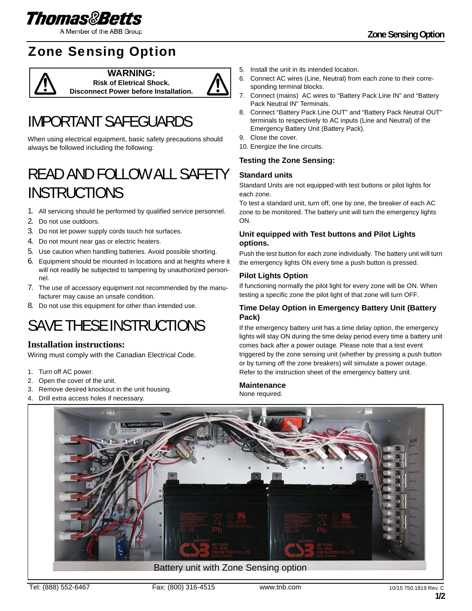

A Member of the ABB Group

### Zone Sensing Option



**WARNING: Risk of Eletrical Shock. Disconnect Power before Installation.**



# IMPORTANT SAFEGUARDS

When using electrical equipment, basic safety precautions should always be followed including the following:

## READ AND FOLLOW ALL SAFETY INSTRUCTIONS

- 1. All servicing should be performed by qualified service personnel.
- 2. Do not use outdoors.
- 3. Do not let power supply cords touch hot surfaces.
- 4. Do not mount near gas or electric heaters.
- 5. Use caution when handling batteries. Avoid possible shorting.
- 6. Equipment should be mounted in locations and at heights where it will not readily be subjected to tampering by unauthorized personnel.
- 7. The use of accessory equipment not recommended by the manufacturer may cause an unsafe condition.
- 8. Do not use this equipment for other than intended use.

# SAVE THESE INSTRUCTIONS

### **Installation instructions:**

Wiring must comply with the Canadian Electrical Code.

- 1. Turn off AC power.
- 2. Open the cover of the unit.
- 3. Remove desired knockout in the unit housing.
- 4. Drill extra access holes if necessary.
- 5. Install the unit in its intended location.
- 6. Connect AC wires (Line, Neutral) from each zone to their corresponding terminal blocks.
- 7. Connect (mains) AC wires to "Battery Pack Line IN" and "Battery Pack Neutral IN" Terminals.
- 8. Connect "Battery Pack Line OUT" and "Battery Pack Neutral OUT" terminals to respectively to AC inputs (Line and Neutral) of the Emergency Battery Unit (Battery Pack).
- 9. Close the cover.
- 10. Energize the line circuits.

#### **Testing the Zone Sensing:**

#### **Standard units**

Standard Units are not equipped with test buttons or pilot lights for each zone.

To test a standard unit, turn off, one by one, the breaker of each AC zone to be monitored. The battery unit will turn the emergency lights ON.

#### **Unit equipped with Test buttons and Pilot Lights options.**

Push the test button for each zone individually. The battery unit will turn the emergency lights ON every time a push button is pressed.

#### **Pilot Lights Option**

If functioning normally the pilot light for every zone will be ON. When testing a specific zone the pilot light of that zone will turn OFF.

#### **Time Delay Option in Emergency Battery Unit (Battery Pack)**

If the emergency battery unit has a time delay option, the emergency lights will stay ON during the time delay period every time a battery unit comes back after a power outage. Please note that a test event triggered by the zone sensing unit (whether by pressing a push button or by turning off the zone breakers) will simulate a power outage. Refer to the instruction sheet of the emergency battery unit.

#### **Maintenance**

None required.